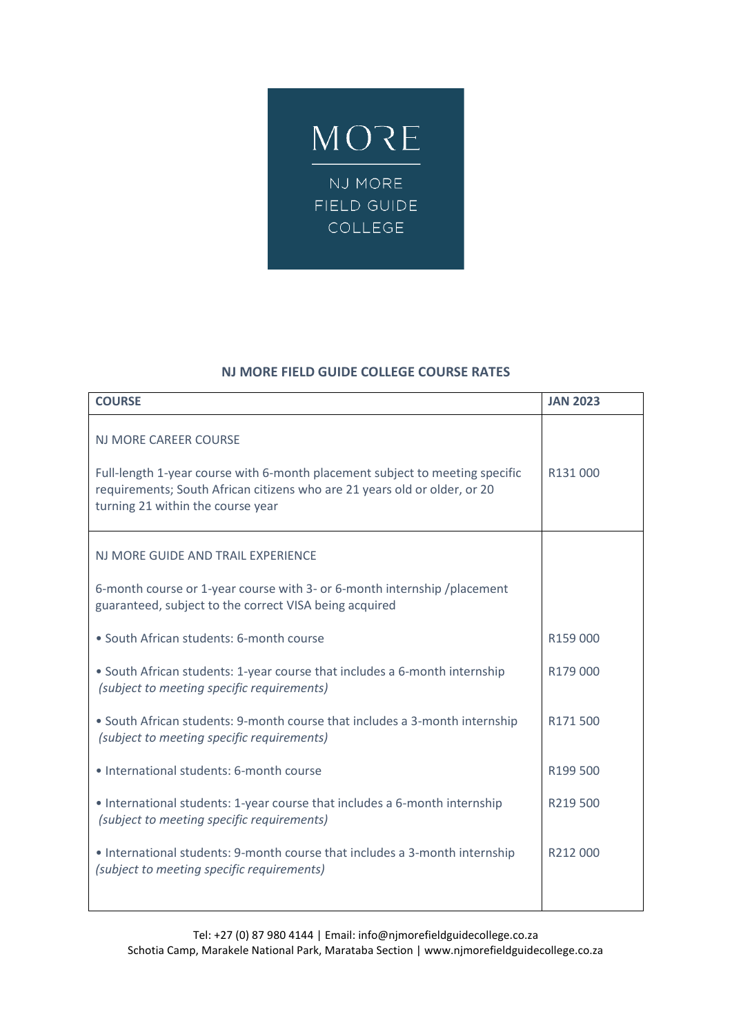

## **NJ MORE FIELD GUIDE COLLEGE COURSE RATES**

| <b>COURSE</b>                                                                                                                                                                                                                  | <b>JAN 2023</b> |
|--------------------------------------------------------------------------------------------------------------------------------------------------------------------------------------------------------------------------------|-----------------|
| <b>NJ MORE CAREER COURSE</b><br>Full-length 1-year course with 6-month placement subject to meeting specific<br>requirements; South African citizens who are 21 years old or older, or 20<br>turning 21 within the course year | R131000         |
| NJ MORE GUIDE AND TRAIL EXPERIENCE                                                                                                                                                                                             |                 |
| 6-month course or 1-year course with 3- or 6-month internship / placement<br>guaranteed, subject to the correct VISA being acquired                                                                                            |                 |
| · South African students: 6-month course                                                                                                                                                                                       | R159 000        |
| • South African students: 1-year course that includes a 6-month internship<br>(subject to meeting specific requirements)                                                                                                       | R179 000        |
| • South African students: 9-month course that includes a 3-month internship<br>(subject to meeting specific requirements)                                                                                                      | R171500         |
| • International students: 6-month course                                                                                                                                                                                       | R199 500        |
| • International students: 1-year course that includes a 6-month internship<br>(subject to meeting specific requirements)                                                                                                       | R219500         |
| • International students: 9-month course that includes a 3-month internship<br>(subject to meeting specific requirements)                                                                                                      | R212000         |
|                                                                                                                                                                                                                                |                 |